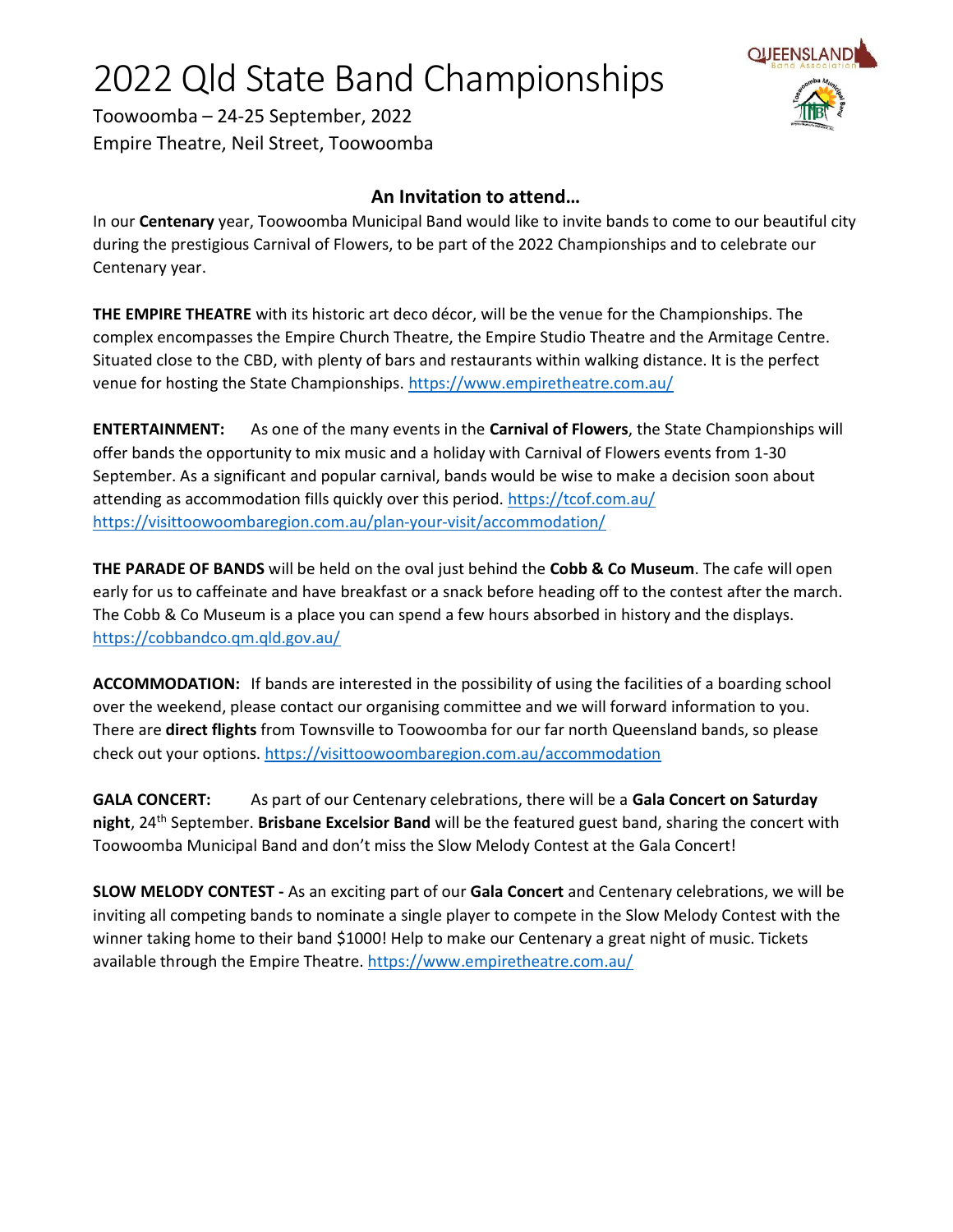## 2022 Qld State Band Championships



Toowoomba – 24-25 September, 2022 Empire Theatre, Neil Street, Toowoomba

## An Invitation to attend…

In our Centenary year, Toowoomba Municipal Band would like to invite bands to come to our beautiful city during the prestigious Carnival of Flowers, to be part of the 2022 Championships and to celebrate our Centenary year.

THE EMPIRE THEATRE with its historic art deco décor, will be the venue for the Championships. The complex encompasses the Empire Church Theatre, the Empire Studio Theatre and the Armitage Centre. Situated close to the CBD, with plenty of bars and restaurants within walking distance. It is the perfect venue for hosting the State Championships. https://www.empiretheatre.com.au/

ENTERTAINMENT: As one of the many events in the Carnival of Flowers, the State Championships will offer bands the opportunity to mix music and a holiday with Carnival of Flowers events from 1-30 September. As a significant and popular carnival, bands would be wise to make a decision soon about attending as accommodation fills quickly over this period. https://tcof.com.au/ https://visittoowoombaregion.com.au/plan-your-visit/accommodation/

THE PARADE OF BANDS will be held on the oval just behind the Cobb & Co Museum. The cafe will open early for us to caffeinate and have breakfast or a snack before heading off to the contest after the march. The Cobb & Co Museum is a place you can spend a few hours absorbed in history and the displays. https://cobbandco.qm.qld.gov.au/

ACCOMMODATION: If bands are interested in the possibility of using the facilities of a boarding school over the weekend, please contact our organising committee and we will forward information to you. There are **direct flights** from Townsville to Toowoomba for our far north Queensland bands, so please check out your options. https://visittoowoombaregion.com.au/accommodation

GALA CONCERT: As part of our Centenary celebrations, there will be a Gala Concert on Saturday night, 24<sup>th</sup> September. Brisbane Excelsior Band will be the featured guest band, sharing the concert with Toowoomba Municipal Band and don't miss the Slow Melody Contest at the Gala Concert!

SLOW MELODY CONTEST - As an exciting part of our Gala Concert and Centenary celebrations, we will be inviting all competing bands to nominate a single player to compete in the Slow Melody Contest with the winner taking home to their band \$1000! Help to make our Centenary a great night of music. Tickets available through the Empire Theatre. https://www.empiretheatre.com.au/